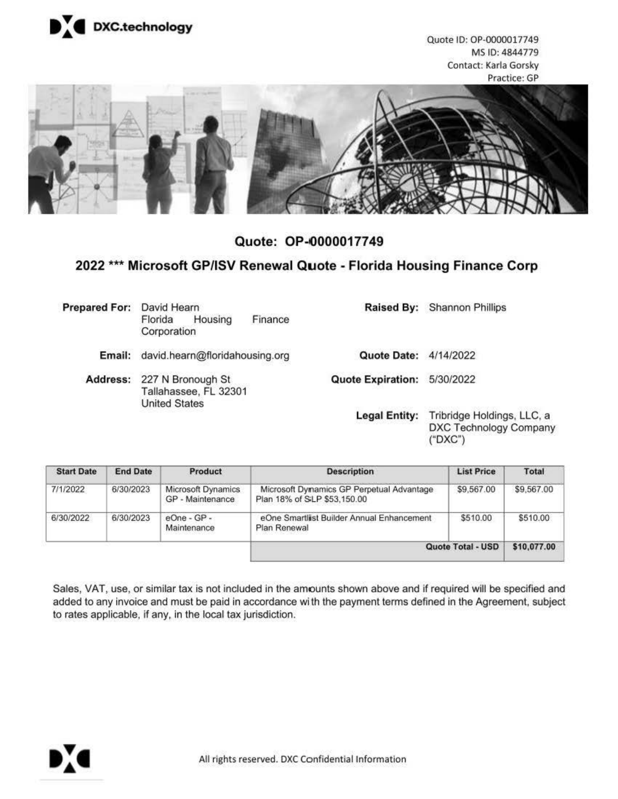

Quote ID: OP-0000017749 MS ID: 4844779 Contact: **Karla** Gorsky Practice: GP



**Quote: OP-0000017749** 

# **2022** \*\*\* **Microsoft GP/ISV Renewal Quote - Florida Housing Finance Corp**

| <b>Prepared For:</b> | David Hearn<br>Finance<br>Housing<br>Florida<br>Corporation                 |                             | Raised By: Shannon Phillips                                            |
|----------------------|-----------------------------------------------------------------------------|-----------------------------|------------------------------------------------------------------------|
| Email:               | david.hearn@floridahousing.org                                              | Quote Date:                 | 4/14/2022                                                              |
|                      | Address: 227 N Bronough St<br>Tallahassee, FL 32301<br><b>United States</b> | Quote Expiration: 5/30/2022 |                                                                        |
|                      |                                                                             | <b>Legal Entity:</b>        | Tribridge Holdings, LLC, a<br><b>DXC Technology Company</b><br>("DXC") |

| <b>Start Date</b> | <b>End Date</b> | Product                                | <b>Description</b>                                                       | <b>List Price</b> | Total       |
|-------------------|-----------------|----------------------------------------|--------------------------------------------------------------------------|-------------------|-------------|
| 7/1/2022          | 6/30/2023       | Microsoft Dynamics<br>GP - Maintenance | Microsoft Dynamics GP Perpetual Advantage<br>Plan 18% of SLP \$53,150.00 | \$9,567.00        | \$9,567.00  |
| 6/30/2022         | 6/30/2023       | $eOne - GP -$<br>Maintenance           | eOne Smartlist Builder Annual Enhancement<br>Plan Renewal                | \$510.00          | \$510.00    |
|                   |                 |                                        |                                                                          | Quote Total - USD | \$10,077.00 |

Sales, VAT, use, or similar tax is not included in the amounts shown above and if required will be specified and added to any invoice and must be paid in accordance wi th the payment terms defined in the Agreement, subject to rates applicable, if any, in the local tax jurisdiction.

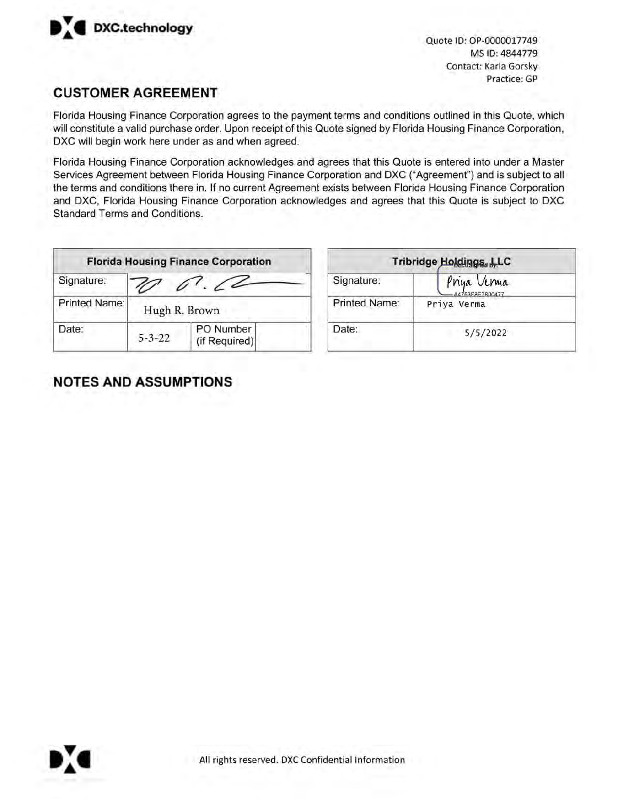

Quote ID: OP-0000017749 MS ID: 4844779 Contact: Karla Gorsky Practice: GP

### **CUSTOMER AGREEMENT**

Florida Housing Finance Corporation agrees to the payment terms and conditions outlined in this Quote, which will constitute a valid purchase order. Upon receipt of this Quote signed by Florida Housing Finance Corporation, DXC will begin work here under as and when agreed.

Florida Housing Finance Corporation acknowledges and agrees that this Quote is entered into under a Master Services Agreement between Florida Housing Finance Corporation and DXC ("Agreement") and is subject to all the terms and conditions there in. If no current Agreement exists between Florida Housing Finance Corporation and DXC, Florida Housing Finance Corporation acknowledges and agrees that this Quote is subject to DXC Standard Terms and Conditions.

| <b>Florida Housing Finance Corporation</b> |              |                            | Tribridge Holdings. |                           |
|--------------------------------------------|--------------|----------------------------|---------------------|---------------------------|
| Signature:                                 |              |                            | Signature:          | Priya Ve<br>$-AA753F8E78$ |
| Printed Name:                              |              | Hugh R. Brown              | Printed Name:       | Priya Verma               |
| Date:                                      | $5 - 3 - 22$ | PO Number<br>(if Required) | Date:               | 5/5/3                     |

| Tribridge Holdings. L.LC |                                 |  |
|--------------------------|---------------------------------|--|
| Signature:               | Priya Verma<br>-A4753F8E7800477 |  |
| Printed Name:            | Priya Verma                     |  |
| Date:                    | 5/5/2022                        |  |

## **NOTES AND ASSUMPTIONS**